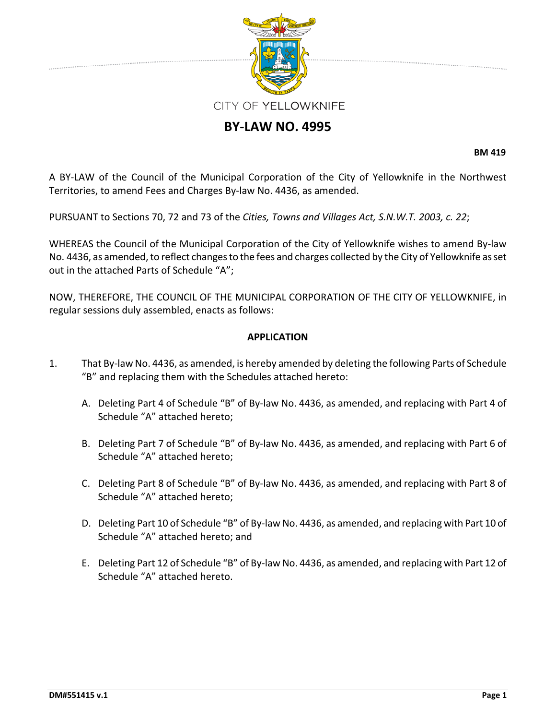

# **BY‐LAW NO. 4995**

**BM 419**

A BY‐LAW of the Council of the Municipal Corporation of the City of Yellowknife in the Northwest Territories, to amend Fees and Charges By‐law No. 4436, as amended.

PURSUANT to Sections 70, 72 and 73 of the *Cities, Towns and Villages Act, S.N.W.T. 2003, c. 22*;

WHEREAS the Council of the Municipal Corporation of the City of Yellowknife wishes to amend By‐law No. 4436, as amended, to reflect changes to the fees and charges collected by the City of Yellowknife as set out in the attached Parts of Schedule "A";

NOW, THEREFORE, THE COUNCIL OF THE MUNICIPAL CORPORATION OF THE CITY OF YELLOWKNIFE, in regular sessions duly assembled, enacts as follows:

#### **APPLICATION**

- 1. That By‐law No. 4436, as amended, is hereby amended by deleting the following Parts of Schedule "B" and replacing them with the Schedules attached hereto:
	- A. Deleting Part 4 of Schedule "B" of By‐law No. 4436, as amended, and replacing with Part 4 of Schedule "A" attached hereto;
	- B. Deleting Part 7 of Schedule "B" of By‐law No. 4436, as amended, and replacing with Part 6 of Schedule "A" attached hereto;
	- C. Deleting Part 8 of Schedule "B" of By‐law No. 4436, as amended, and replacing with Part 8 of Schedule "A" attached hereto;
	- D. Deleting Part 10 of Schedule "B" of By-law No. 4436, as amended, and replacing with Part 10 of Schedule "A" attached hereto; and
	- E. Deleting Part 12 of Schedule "B" of By‐law No. 4436, as amended, and replacing with Part 12 of Schedule "A" attached hereto.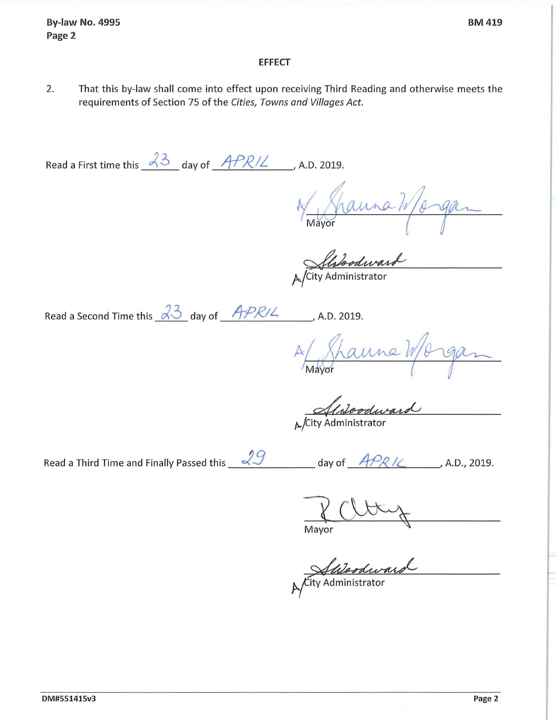**By-law No. 4995 Page 2** 

#### **BM419**

#### **EFFECT**

2. That this by-law shall come into effect upon receiving Third Reading and otherwise meets the requirements of Section 75 of the *Cities, Towns and Villages Act.* 

Read a First time this  $\frac{23}{4}$  day of  $\frac{APR}{L}$ , A.D. 2019.

N Shanna Wargan

Alsloodward

Read a Second Time this  $\sqrt{33}$  day of  $\sqrt{APR}/L$ , A.D. 2019.

A Shanne Worgan

Alstoodward

Read a Third Time and Finally Passed this  $\sqrt{29}$  day of *4PR IL , A.D., 2019.* 

Mayor

Autodward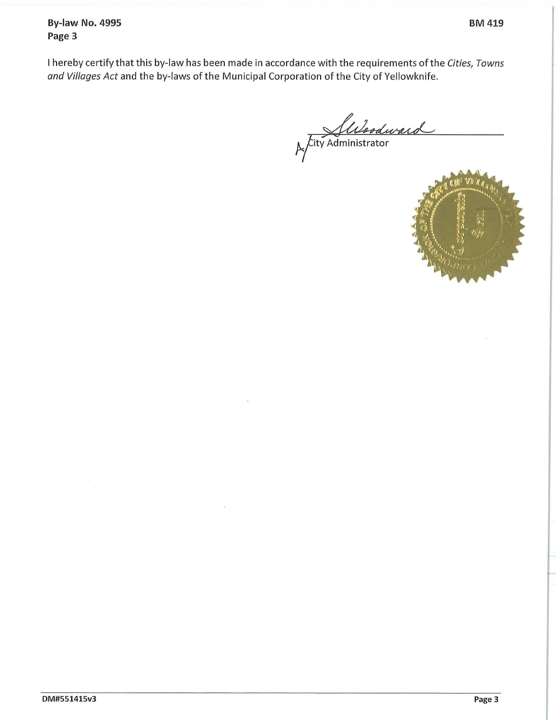**By-law No. 4995 Page 3** 

I hereby certify that this by-law has been made in accordance with the requirements ofthe *Cities, Towns and Villages Act* and the by-laws of the Municipal Corporation of the City of Yellowknife.

Juloodward

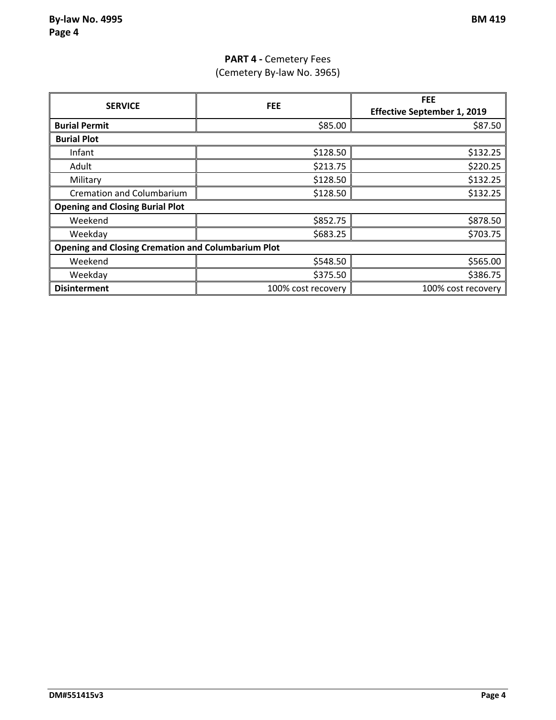# **PART 4 ‐** Cemetery Fees (Cemetery By‐law No. 3965)

|                                                           |                    | <b>FEE</b>                         |
|-----------------------------------------------------------|--------------------|------------------------------------|
| <b>SERVICE</b>                                            | <b>FEE</b>         | <b>Effective September 1, 2019</b> |
| <b>Burial Permit</b>                                      | \$85.00            | \$87.50                            |
| <b>Burial Plot</b>                                        |                    |                                    |
| Infant                                                    | \$128.50           | \$132.25                           |
| Adult                                                     | \$213.75           | \$220.25                           |
| Military                                                  | \$128.50           | \$132.25                           |
| <b>Cremation and Columbarium</b>                          | \$128.50           | \$132.25                           |
| <b>Opening and Closing Burial Plot</b>                    |                    |                                    |
| Weekend                                                   | \$852.75           | \$878.50                           |
| Weekday                                                   | \$683.25           | \$703.75                           |
| <b>Opening and Closing Cremation and Columbarium Plot</b> |                    |                                    |
| Weekend                                                   | \$548.50           | \$565.00                           |
| Weekday                                                   | \$375.50           | \$386.75                           |
| <b>Disinterment</b>                                       | 100% cost recovery | 100% cost recovery                 |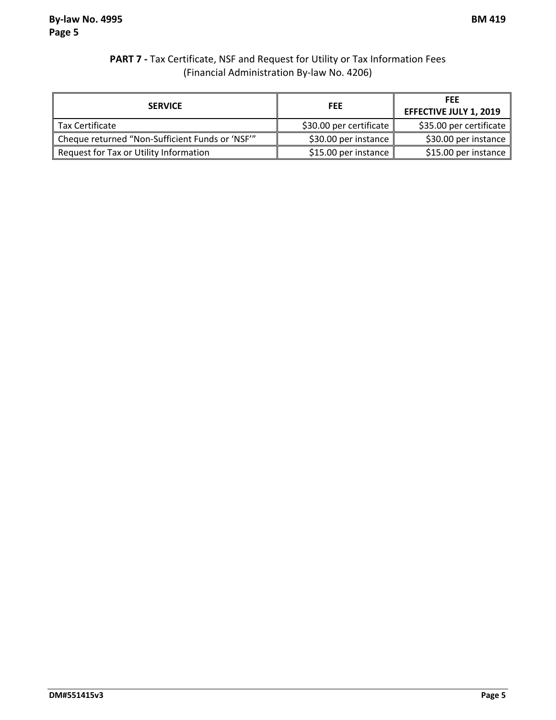### **PART 7 ‐** Tax Certificate, NSF and Request for Utility or Tax Information Fees (Financial Administration By‐law No. 4206)

| <b>SERVICE</b>                                 | <b>FEE</b>              | <b>FEE</b><br><b>EFFECTIVE JULY 1, 2019</b> |
|------------------------------------------------|-------------------------|---------------------------------------------|
| Tax Certificate                                | \$30.00 per certificate | \$35.00 per certificate                     |
| Cheque returned "Non-Sufficient Funds or 'NSF" | \$30.00 per instance    | \$30.00 per instance                        |
| Request for Tax or Utility Information         | \$15.00 per instance    | \$15.00 per instance                        |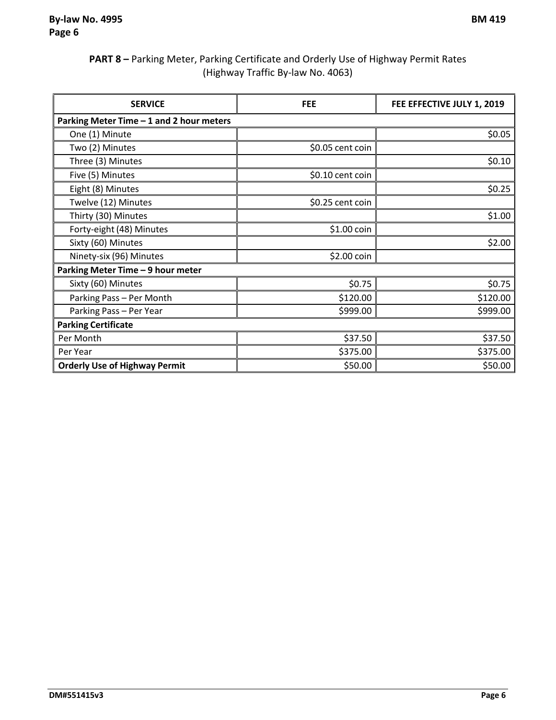### **PART 8 –** Parking Meter, Parking Certificate and Orderly Use of Highway Permit Rates (Highway Traffic By‐law No. 4063)

| <b>SERVICE</b>                           | <b>FEE</b>       | FEE EFFECTIVE JULY 1, 2019 |
|------------------------------------------|------------------|----------------------------|
| Parking Meter Time - 1 and 2 hour meters |                  |                            |
| One (1) Minute                           |                  | \$0.05                     |
| Two (2) Minutes                          | \$0.05 cent coin |                            |
| Three (3) Minutes                        |                  | \$0.10                     |
| Five (5) Minutes                         | \$0.10 cent coin |                            |
| Eight (8) Minutes                        |                  | \$0.25                     |
| Twelve (12) Minutes                      | \$0.25 cent coin |                            |
| Thirty (30) Minutes                      |                  | \$1.00                     |
| Forty-eight (48) Minutes                 | \$1.00 coin      |                            |
| Sixty (60) Minutes                       |                  | \$2.00                     |
| Ninety-six (96) Minutes                  | \$2.00 coin      |                            |
| Parking Meter Time - 9 hour meter        |                  |                            |
| Sixty (60) Minutes                       | \$0.75           | \$0.75                     |
| Parking Pass - Per Month                 | \$120.00         | \$120.00                   |
| Parking Pass - Per Year                  | \$999.00         | \$999.00                   |
| <b>Parking Certificate</b>               |                  |                            |
| Per Month                                | \$37.50          | \$37.50                    |
| Per Year                                 | \$375.00         | \$375.00                   |
| <b>Orderly Use of Highway Permit</b>     | \$50.00          | \$50.00                    |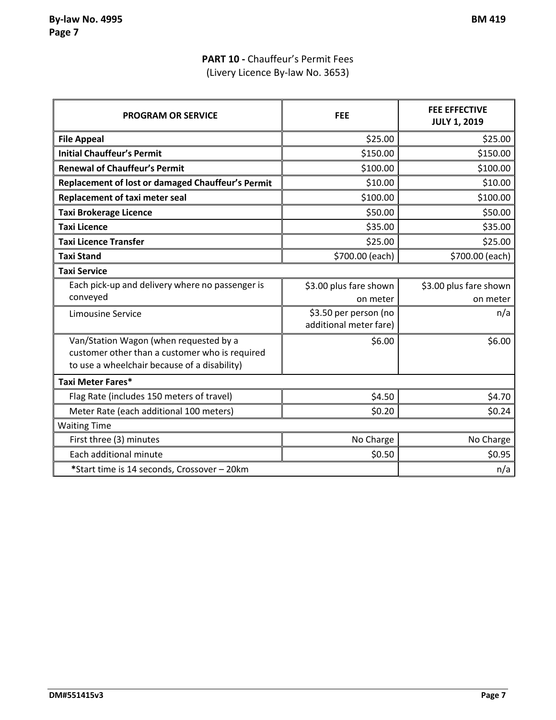# **PART 10 ‐** Chauffeur's Permit Fees (Livery Licence By‐law No. 3653)

| <b>PROGRAM OR SERVICE</b>                                                                                                                | <b>FEE</b>                                      | <b>FEE EFFECTIVE</b><br><b>JULY 1, 2019</b> |
|------------------------------------------------------------------------------------------------------------------------------------------|-------------------------------------------------|---------------------------------------------|
| <b>File Appeal</b>                                                                                                                       | \$25.00                                         | \$25.00                                     |
| <b>Initial Chauffeur's Permit</b>                                                                                                        | \$150.00                                        | \$150.00                                    |
| <b>Renewal of Chauffeur's Permit</b>                                                                                                     | \$100.00                                        | \$100.00                                    |
| Replacement of lost or damaged Chauffeur's Permit                                                                                        | \$10.00                                         | \$10.00                                     |
| Replacement of taxi meter seal                                                                                                           | \$100.00                                        | \$100.00                                    |
| <b>Taxi Brokerage Licence</b>                                                                                                            | \$50.00                                         | \$50.00                                     |
| <b>Taxi Licence</b>                                                                                                                      | \$35.00                                         | \$35.00                                     |
| <b>Taxi Licence Transfer</b>                                                                                                             | \$25.00                                         | \$25.00                                     |
| <b>Taxi Stand</b>                                                                                                                        | \$700.00 (each)                                 | \$700.00 (each)                             |
| <b>Taxi Service</b>                                                                                                                      |                                                 |                                             |
| Each pick-up and delivery where no passenger is                                                                                          | \$3.00 plus fare shown                          | \$3.00 plus fare shown                      |
| conveyed                                                                                                                                 | on meter                                        | on meter                                    |
| <b>Limousine Service</b>                                                                                                                 | \$3.50 per person (no<br>additional meter fare) | n/a                                         |
| Van/Station Wagon (when requested by a<br>customer other than a customer who is required<br>to use a wheelchair because of a disability) | \$6.00                                          | \$6.00                                      |
| Taxi Meter Fares*                                                                                                                        |                                                 |                                             |
| Flag Rate (includes 150 meters of travel)                                                                                                | \$4.50                                          | \$4.70                                      |
| Meter Rate (each additional 100 meters)                                                                                                  | \$0.20                                          | \$0.24                                      |
| <b>Waiting Time</b>                                                                                                                      |                                                 |                                             |
| First three (3) minutes                                                                                                                  | No Charge                                       | No Charge                                   |
| Each additional minute                                                                                                                   | \$0.50                                          | \$0.95                                      |
| *Start time is 14 seconds, Crossover - 20km                                                                                              |                                                 | n/a                                         |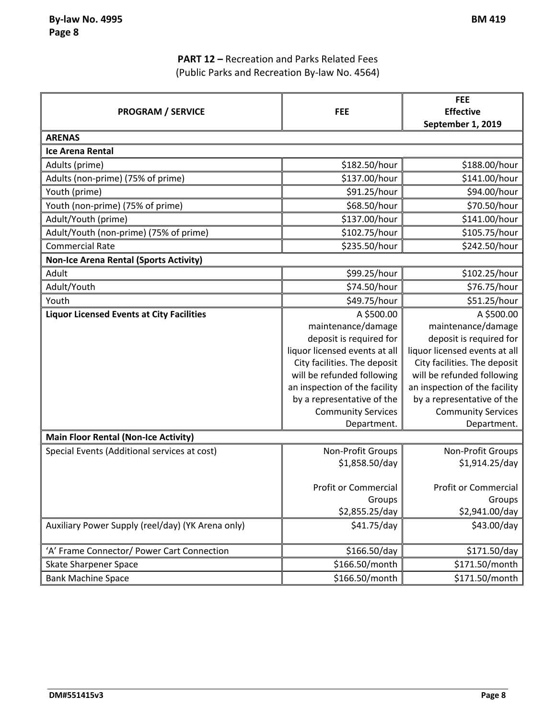# **PART 12 –** Recreation and Parks Related Fees (Public Parks and Recreation By‐law No. 4564)

| <b>PROGRAM / SERVICE</b>                          | <b>FEE</b>                    | <b>FEE</b><br><b>Effective</b> |
|---------------------------------------------------|-------------------------------|--------------------------------|
| <b>ARENAS</b>                                     |                               | September 1, 2019              |
| <b>Ice Arena Rental</b>                           |                               |                                |
| Adults (prime)                                    | \$182.50/hour                 | \$188.00/hour                  |
| Adults (non-prime) (75% of prime)                 | \$137.00/hour                 | \$141.00/hour                  |
| Youth (prime)                                     | \$91.25/hour                  | \$94.00/hour                   |
| Youth (non-prime) (75% of prime)                  | \$68.50/hour                  | \$70.50/hour                   |
| Adult/Youth (prime)                               | \$137.00/hour                 | \$141.00/hour                  |
| Adult/Youth (non-prime) (75% of prime)            | \$102.75/hour                 | \$105.75/hour                  |
| <b>Commercial Rate</b>                            | \$235.50/hour                 | \$242.50/hour                  |
| <b>Non-Ice Arena Rental (Sports Activity)</b>     |                               |                                |
| Adult                                             | \$99.25/hour                  | \$102.25/hour                  |
| Adult/Youth                                       | \$74.50/hour                  | \$76.75/hour                   |
| Youth                                             | \$49.75/hour                  | \$51.25/hour                   |
| <b>Liquor Licensed Events at City Facilities</b>  | A \$500.00                    | A \$500.00                     |
|                                                   | maintenance/damage            | maintenance/damage             |
|                                                   | deposit is required for       | deposit is required for        |
|                                                   | liquor licensed events at all | liquor licensed events at all  |
|                                                   | City facilities. The deposit  | City facilities. The deposit   |
|                                                   | will be refunded following    | will be refunded following     |
|                                                   | an inspection of the facility | an inspection of the facility  |
|                                                   | by a representative of the    | by a representative of the     |
|                                                   | <b>Community Services</b>     | <b>Community Services</b>      |
|                                                   | Department.                   | Department.                    |
| <b>Main Floor Rental (Non-Ice Activity)</b>       |                               |                                |
| Special Events (Additional services at cost)      | Non-Profit Groups             | Non-Profit Groups              |
|                                                   | \$1,858.50/day                | \$1,914.25/day                 |
|                                                   | <b>Profit or Commercial</b>   | <b>Profit or Commercial</b>    |
|                                                   | Groups                        | Groups                         |
|                                                   | \$2,855.25/day                | \$2,941.00/day                 |
| Auxiliary Power Supply (reel/day) (YK Arena only) | \$41.75/day                   | \$43.00/day                    |
|                                                   |                               |                                |
| 'A' Frame Connector/ Power Cart Connection        | \$166.50/day                  | \$171.50/day                   |
| <b>Skate Sharpener Space</b>                      | \$166.50/month                | \$171.50/month                 |
| <b>Bank Machine Space</b>                         | \$166.50/month                | \$171.50/month                 |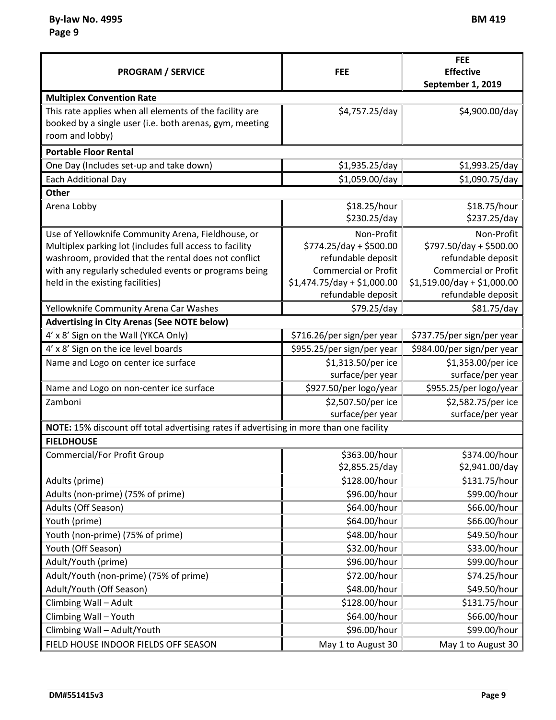| <b>PROGRAM / SERVICE</b>                                                                                                                                                                                                                                           | <b>FEE</b>                                                                                                                                      | <b>FEE</b><br><b>Effective</b><br>September 1, 2019                                                                                             |
|--------------------------------------------------------------------------------------------------------------------------------------------------------------------------------------------------------------------------------------------------------------------|-------------------------------------------------------------------------------------------------------------------------------------------------|-------------------------------------------------------------------------------------------------------------------------------------------------|
| <b>Multiplex Convention Rate</b>                                                                                                                                                                                                                                   |                                                                                                                                                 |                                                                                                                                                 |
| This rate applies when all elements of the facility are<br>booked by a single user (i.e. both arenas, gym, meeting<br>room and lobby)                                                                                                                              | \$4,757.25/day                                                                                                                                  | \$4,900.00/day                                                                                                                                  |
| <b>Portable Floor Rental</b>                                                                                                                                                                                                                                       |                                                                                                                                                 |                                                                                                                                                 |
| One Day (Includes set-up and take down)                                                                                                                                                                                                                            | \$1,935.25/day                                                                                                                                  | \$1,993.25/day                                                                                                                                  |
| <b>Each Additional Day</b>                                                                                                                                                                                                                                         | \$1,059.00/day                                                                                                                                  | \$1,090.75/day                                                                                                                                  |
| <b>Other</b>                                                                                                                                                                                                                                                       |                                                                                                                                                 |                                                                                                                                                 |
| Arena Lobby                                                                                                                                                                                                                                                        | \$18.25/hour<br>\$230.25/day                                                                                                                    | \$18.75/hour<br>\$237.25/day                                                                                                                    |
| Use of Yellowknife Community Arena, Fieldhouse, or<br>Multiplex parking lot (includes full access to facility<br>washroom, provided that the rental does not conflict<br>with any regularly scheduled events or programs being<br>held in the existing facilities) | Non-Profit<br>$$774.25/day + $500.00$<br>refundable deposit<br><b>Commercial or Profit</b><br>$$1,474.75/day + $1,000.00$<br>refundable deposit | Non-Profit<br>\$797.50/day + \$500.00<br>refundable deposit<br><b>Commercial or Profit</b><br>$$1,519.00/day + $1,000.00$<br>refundable deposit |
| Yellowknife Community Arena Car Washes                                                                                                                                                                                                                             | \$79.25/day                                                                                                                                     | \$81.75/day                                                                                                                                     |
| <b>Advertising in City Arenas (See NOTE below)</b>                                                                                                                                                                                                                 |                                                                                                                                                 |                                                                                                                                                 |
| 4' x 8' Sign on the Wall (YKCA Only)                                                                                                                                                                                                                               | \$716.26/per sign/per year                                                                                                                      | \$737.75/per sign/per year                                                                                                                      |
| 4' x 8' Sign on the ice level boards                                                                                                                                                                                                                               | \$955.25/per sign/per year                                                                                                                      | \$984.00/per sign/per year                                                                                                                      |
| Name and Logo on center ice surface                                                                                                                                                                                                                                | \$1,313.50/per ice<br>surface/per year                                                                                                          | \$1,353.00/per ice<br>surface/per year                                                                                                          |
| Name and Logo on non-center ice surface                                                                                                                                                                                                                            | \$927.50/per logo/year                                                                                                                          | \$955.25/per logo/year                                                                                                                          |
| Zamboni                                                                                                                                                                                                                                                            | \$2,507.50/per ice<br>surface/per year                                                                                                          | \$2,582.75/per ice<br>surface/per year                                                                                                          |
| NOTE: 15% discount off total advertising rates if advertising in more than one facility                                                                                                                                                                            |                                                                                                                                                 |                                                                                                                                                 |
| <b>FIELDHOUSE</b>                                                                                                                                                                                                                                                  |                                                                                                                                                 |                                                                                                                                                 |
| <b>Commercial/For Profit Group</b>                                                                                                                                                                                                                                 | \$363.00/hour<br>\$2,855.25/day                                                                                                                 | \$374.00/hour<br>\$2,941.00/day                                                                                                                 |
| Adults (prime)                                                                                                                                                                                                                                                     | \$128.00/hour                                                                                                                                   | \$131.75/hour                                                                                                                                   |
| Adults (non-prime) (75% of prime)                                                                                                                                                                                                                                  | \$96.00/hour                                                                                                                                    | \$99.00/hour                                                                                                                                    |
| Adults (Off Season)                                                                                                                                                                                                                                                | \$64.00/hour                                                                                                                                    | \$66.00/hour                                                                                                                                    |
| Youth (prime)                                                                                                                                                                                                                                                      | \$64.00/hour                                                                                                                                    | \$66.00/hour                                                                                                                                    |
| Youth (non-prime) (75% of prime)                                                                                                                                                                                                                                   | \$48.00/hour                                                                                                                                    | \$49.50/hour                                                                                                                                    |
| Youth (Off Season)                                                                                                                                                                                                                                                 | \$32.00/hour                                                                                                                                    | \$33.00/hour                                                                                                                                    |
| Adult/Youth (prime)                                                                                                                                                                                                                                                | \$96.00/hour                                                                                                                                    | \$99.00/hour                                                                                                                                    |
| Adult/Youth (non-prime) (75% of prime)                                                                                                                                                                                                                             | \$72.00/hour                                                                                                                                    | \$74.25/hour                                                                                                                                    |
| Adult/Youth (Off Season)                                                                                                                                                                                                                                           | \$48.00/hour                                                                                                                                    | \$49.50/hour                                                                                                                                    |
| Climbing Wall - Adult                                                                                                                                                                                                                                              | \$128.00/hour                                                                                                                                   | \$131.75/hour                                                                                                                                   |
| Climbing Wall - Youth                                                                                                                                                                                                                                              | \$64.00/hour                                                                                                                                    | \$66.00/hour                                                                                                                                    |
| Climbing Wall - Adult/Youth                                                                                                                                                                                                                                        | \$96.00/hour                                                                                                                                    | \$99.00/hour                                                                                                                                    |
| FIELD HOUSE INDOOR FIELDS OFF SEASON                                                                                                                                                                                                                               | May 1 to August 30                                                                                                                              | May 1 to August 30                                                                                                                              |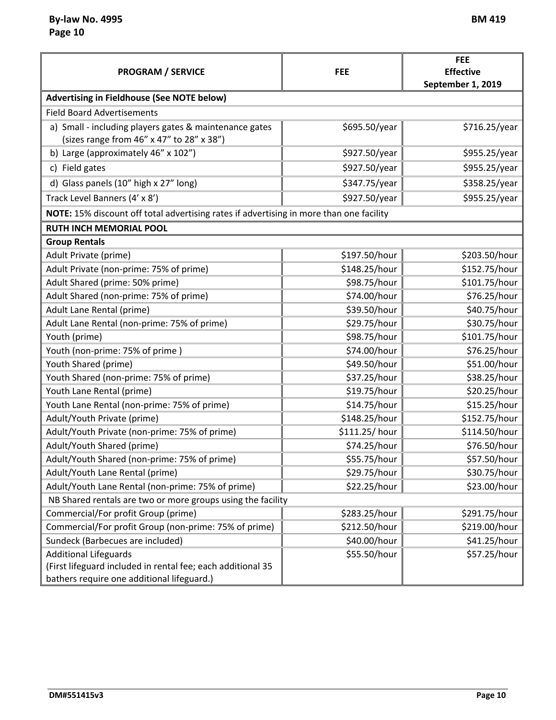ř.

|                                                                                                           |               | <b>FEE</b>        |  |
|-----------------------------------------------------------------------------------------------------------|---------------|-------------------|--|
| <b>PROGRAM / SERVICE</b>                                                                                  | <b>FEE</b>    | <b>Effective</b>  |  |
|                                                                                                           |               | September 1, 2019 |  |
| <b>Advertising in Fieldhouse (See NOTE below)</b>                                                         |               |                   |  |
| <b>Field Board Advertisements</b>                                                                         |               |                   |  |
| a) Small - including players gates & maintenance gates<br>(sizes range from 46" x 47" to 28" x 38")       | \$695.50/year | \$716.25/year     |  |
| b) Large (approximately 46" x 102")                                                                       | \$927.50/year | \$955.25/year     |  |
| c) Field gates                                                                                            | \$927.50/year | \$955.25/year     |  |
| d) Glass panels (10" high x 27" long)                                                                     | \$347.75/year | \$358.25/year     |  |
| Track Level Banners (4' x 8')                                                                             | \$927.50/year | \$955.25/year     |  |
| NOTE: 15% discount off total advertising rates if advertising in more than one facility                   |               |                   |  |
| <b>RUTH INCH MEMORIAL POOL</b>                                                                            |               |                   |  |
| <b>Group Rentals</b>                                                                                      |               |                   |  |
| Adult Private (prime)                                                                                     | \$197.50/hour | \$203.50/hour     |  |
| Adult Private (non-prime: 75% of prime)                                                                   | \$148.25/hour | \$152.75/hour     |  |
| Adult Shared (prime: 50% prime)                                                                           | \$98.75/hour  | \$101.75/hour     |  |
| Adult Shared (non-prime: 75% of prime)                                                                    | \$74.00/hour  | \$76.25/hour      |  |
| Adult Lane Rental (prime)                                                                                 | \$39.50/hour  | \$40.75/hour      |  |
| Adult Lane Rental (non-prime: 75% of prime)                                                               | \$29.75/hour  | \$30.75/hour      |  |
| Youth (prime)                                                                                             | \$98.75/hour  | \$101.75/hour     |  |
| Youth (non-prime: 75% of prime)                                                                           | \$74.00/hour  | \$76.25/hour      |  |
| Youth Shared (prime)                                                                                      | \$49.50/hour  | \$51.00/hour      |  |
| Youth Shared (non-prime: 75% of prime)                                                                    | \$37.25/hour  | \$38.25/hour      |  |
| Youth Lane Rental (prime)                                                                                 | \$19.75/hour  | \$20.25/hour      |  |
| Youth Lane Rental (non-prime: 75% of prime)                                                               | \$14.75/hour  | \$15.25/hour      |  |
| Adult/Youth Private (prime)                                                                               | \$148.25/hour | \$152.75/hour     |  |
| Adult/Youth Private (non-prime: 75% of prime)                                                             | \$111.25/hour | \$114.50/hour     |  |
| Adult/Youth Shared (prime)                                                                                | \$74.25/hour  | \$76.50/hour      |  |
| Adult/Youth Shared (non-prime: 75% of prime)                                                              | \$55.75/hour  | \$57.50/hour      |  |
| Adult/Youth Lane Rental (prime)                                                                           | \$29.75/hour  | \$30.75/hour      |  |
| Adult/Youth Lane Rental (non-prime: 75% of prime)                                                         | \$22.25/hour  | \$23.00/hour      |  |
| NB Shared rentals are two or more groups using the facility                                               |               |                   |  |
| Commercial/For profit Group (prime)                                                                       | \$283.25/hour | \$291.75/hour     |  |
| Commercial/For profit Group (non-prime: 75% of prime)                                                     | \$212.50/hour | \$219.00/hour     |  |
| Sundeck (Barbecues are included)                                                                          | \$40.00/hour  | \$41.25/hour      |  |
| <b>Additional Lifeguards</b>                                                                              | \$55.50/hour  | \$57.25/hour      |  |
| (First lifeguard included in rental fee; each additional 35<br>bathers require one additional lifeguard.) |               |                   |  |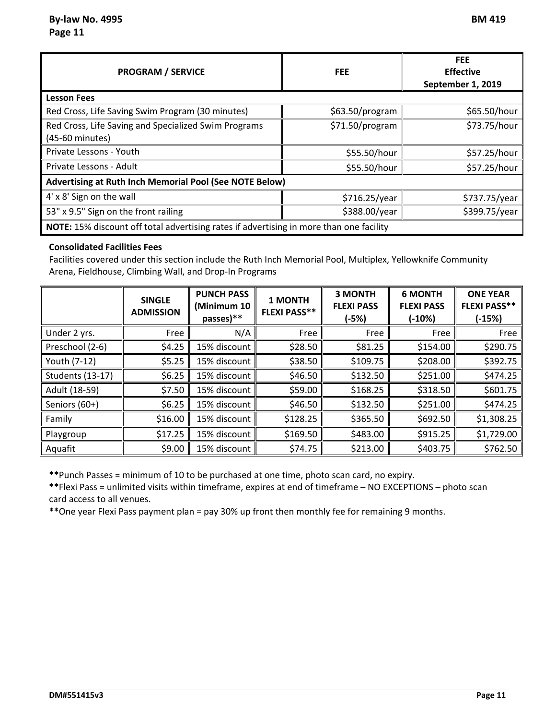| <b>PROGRAM / SERVICE</b>                                                                | <b>FEE</b>      | <b>FEE</b><br><b>Effective</b><br>September 1, 2019 |  |  |
|-----------------------------------------------------------------------------------------|-----------------|-----------------------------------------------------|--|--|
| <b>Lesson Fees</b>                                                                      |                 |                                                     |  |  |
| Red Cross, Life Saving Swim Program (30 minutes)                                        | \$63.50/program | \$65.50/hour                                        |  |  |
| Red Cross, Life Saving and Specialized Swim Programs<br>(45-60 minutes)                 | \$71.50/program | \$73.75/hour                                        |  |  |
| Private Lessons - Youth                                                                 | \$55.50/hour    | \$57.25/hour                                        |  |  |
| Private Lessons - Adult                                                                 | \$55.50/hour    | \$57.25/hour                                        |  |  |
| Advertising at Ruth Inch Memorial Pool (See NOTE Below)                                 |                 |                                                     |  |  |
| 4' x 8' Sign on the wall                                                                | \$716.25/year   | \$737.75/year                                       |  |  |
| 53" x 9.5" Sign on the front railing                                                    | \$388.00/year   | \$399.75/year                                       |  |  |
| NOTE: 15% discount off total advertising rates if advertising in more than one facility |                 |                                                     |  |  |

#### **Consolidated Facilities Fees**

Facilities covered under this section include the Ruth Inch Memorial Pool, Multiplex, Yellowknife Community Arena, Fieldhouse, Climbing Wall, and Drop‐In Programs

|                         | <b>SINGLE</b><br><b>ADMISSION</b> | <b>PUNCH PASS</b><br>(Minimum 10<br>passes)** | 1 MONTH<br><b>FLEXI PASS**</b> | <b>3 MONTH</b><br><b>FLEXI PASS</b><br>$(-5%)$ | <b>6 MONTH</b><br><b>FLEXI PASS</b><br>$(-10%)$ | <b>ONE YEAR</b><br><b>FLEXI PASS**</b><br>$(-15%)$ |
|-------------------------|-----------------------------------|-----------------------------------------------|--------------------------------|------------------------------------------------|-------------------------------------------------|----------------------------------------------------|
| Under 2 yrs.            | Free                              | N/A                                           | Free                           | Free                                           | Free                                            | Free                                               |
| Preschool (2-6)         | \$4.25                            | 15% discount                                  | \$28.50                        | \$81.25                                        | \$154.00                                        | \$290.75                                           |
| Youth (7-12)            | \$5.25                            | 15% discount                                  | \$38.50                        | \$109.75                                       | \$208.00                                        | \$392.75                                           |
| <b>Students (13-17)</b> | \$6.25                            | 15% discount                                  | \$46.50                        | \$132.50                                       | \$251.00                                        | \$474.25                                           |
| Adult (18-59)           | \$7.50                            | 15% discount                                  | \$59.00                        | \$168.25                                       | \$318.50                                        | \$601.75                                           |
| Seniors (60+)           | \$6.25                            | 15% discount                                  | \$46.50                        | \$132.50                                       | \$251.00                                        | \$474.25                                           |
| Family                  | \$16.00                           | 15% discount                                  | \$128.25                       | \$365.50                                       | \$692.50                                        | \$1,308.25                                         |
| Playgroup               | \$17.25                           | 15% discount                                  | \$169.50                       | \$483.00                                       | \$915.25                                        | \$1,729.00                                         |
| Aquafit                 | \$9.00                            | 15% discount                                  | \$74.75                        | \$213.00                                       | \$403.75                                        | \$762.50                                           |

**\*\***Punch Passes = minimum of 10 to be purchased at one time, photo scan card, no expiry.

**\*\***Flexi Pass = unlimited visits within timeframe, expires at end of timeframe – NO EXCEPTIONS – photo scan card access to all venues.

**\*\***One year Flexi Pass payment plan = pay 30% up front then monthly fee for remaining 9 months.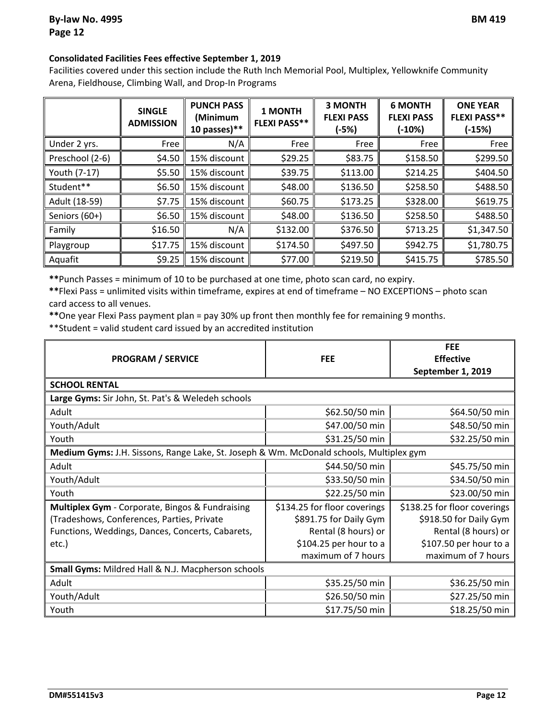#### **Consolidated Facilities Fees effective September 1, 2019**

Facilities covered under this section include the Ruth Inch Memorial Pool, Multiplex, Yellowknife Community Arena, Fieldhouse, Climbing Wall, and Drop‐In Programs

|                 | <b>SINGLE</b><br><b>ADMISSION</b> | <b>PUNCH PASS</b><br>(Minimum<br>10 passes) $**$ | 1 MONTH<br><b>FLEXI PASS**</b> | <b>3 MONTH</b><br><b>FLEXI PASS</b><br>(-5%) | <b>6 MONTH</b><br><b>FLEXI PASS</b><br>(-10%) | <b>ONE YEAR</b><br><b>FLEXI PASS**</b><br>$(-15%)$ |
|-----------------|-----------------------------------|--------------------------------------------------|--------------------------------|----------------------------------------------|-----------------------------------------------|----------------------------------------------------|
| Under 2 yrs.    | Free                              | N/A                                              | Free                           | Free                                         | Free                                          | Free                                               |
| Preschool (2-6) | \$4.50                            | 15% discount                                     | \$29.25                        | \$83.75                                      | \$158.50                                      | \$299.50                                           |
| Youth (7-17)    | \$5.50                            | 15% discount                                     | \$39.75                        | \$113.00                                     | \$214.25                                      | \$404.50                                           |
| Student**       | \$6.50                            | 15% discount                                     | \$48.00                        | \$136.50                                     | \$258.50                                      | \$488.50                                           |
| Adult (18-59)   | \$7.75                            | 15% discount                                     | \$60.75                        | \$173.25                                     | \$328.00                                      | \$619.75                                           |
| Seniors (60+)   | \$6.50                            | 15% discount                                     | \$48.00                        | \$136.50                                     | \$258.50                                      | \$488.50                                           |
| Family          | \$16.50                           | N/A                                              | \$132.00                       | \$376.50                                     | \$713.25                                      | \$1,347.50                                         |
| Playgroup       | \$17.75                           | 15% discount                                     | \$174.50                       | \$497.50                                     | \$942.75                                      | \$1,780.75                                         |
| Aquafit         | \$9.25                            | 15% discount                                     | \$77.00                        | \$219.50                                     | \$415.75                                      | \$785.50                                           |

**\*\***Punch Passes = minimum of 10 to be purchased at one time, photo scan card, no expiry.

**\*\***Flexi Pass = unlimited visits within timeframe, expires at end of timeframe – NO EXCEPTIONS – photo scan card access to all venues.

**\*\***One year Flexi Pass payment plan = pay 30% up front then monthly fee for remaining 9 months.

\*\*Student = valid student card issued by an accredited institution

| <b>PROGRAM / SERVICE</b>                                                                | <b>FEE</b>                   | <b>FEE</b><br><b>Effective</b><br>September 1, 2019 |  |
|-----------------------------------------------------------------------------------------|------------------------------|-----------------------------------------------------|--|
| <b>SCHOOL RENTAL</b>                                                                    |                              |                                                     |  |
| Large Gyms: Sir John, St. Pat's & Weledeh schools                                       |                              |                                                     |  |
| Adult                                                                                   | \$62.50/50 min               | \$64.50/50 min                                      |  |
| Youth/Adult                                                                             | \$47.00/50 min               | \$48.50/50 min                                      |  |
| Youth                                                                                   | \$31.25/50 min               | \$32.25/50 min                                      |  |
| Medium Gyms: J.H. Sissons, Range Lake, St. Joseph & Wm. McDonald schools, Multiplex gym |                              |                                                     |  |
| Adult                                                                                   | \$44.50/50 min               | \$45.75/50 min                                      |  |
| Youth/Adult                                                                             | \$33.50/50 min               | \$34.50/50 min                                      |  |
| Youth                                                                                   | \$22.25/50 min               | \$23.00/50 min                                      |  |
| Multiplex Gym - Corporate, Bingos & Fundraising                                         | \$134.25 for floor coverings | \$138.25 for floor coverings                        |  |
| (Tradeshows, Conferences, Parties, Private                                              | \$891.75 for Daily Gym       | \$918.50 for Daily Gym                              |  |
| Functions, Weddings, Dances, Concerts, Cabarets,                                        | Rental (8 hours) or          | Rental (8 hours) or                                 |  |
| etc.)                                                                                   | \$104.25 per hour to a       | \$107.50 per hour to a                              |  |
|                                                                                         | maximum of 7 hours           | maximum of 7 hours                                  |  |
| Small Gyms: Mildred Hall & N.J. Macpherson schools                                      |                              |                                                     |  |
| Adult                                                                                   | \$35.25/50 min               | \$36.25/50 min                                      |  |
| Youth/Adult                                                                             | \$26.50/50 min               | \$27.25/50 min                                      |  |
| Youth                                                                                   | \$17.75/50 min               | \$18.25/50 min                                      |  |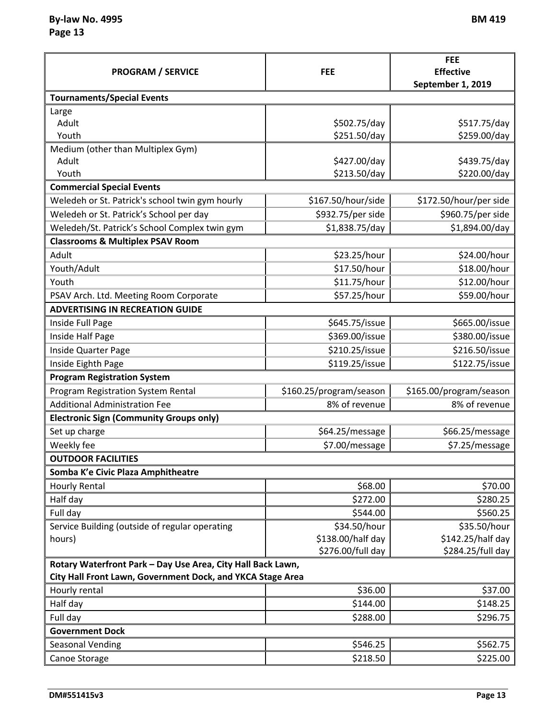$By$  $-$ **law No.** 4995 **Page 13**

| M<br>. .<br>Н<br>ш |  |
|--------------------|--|
|--------------------|--|

| <b>PROGRAM / SERVICE</b>                                    | <b>FEE</b>              | <b>FEE</b><br><b>Effective</b><br>September 1, 2019 |
|-------------------------------------------------------------|-------------------------|-----------------------------------------------------|
| <b>Tournaments/Special Events</b>                           |                         |                                                     |
| Large                                                       |                         |                                                     |
| Adult                                                       | \$502.75/day            | \$517.75/day                                        |
| Youth                                                       | \$251.50/day            | \$259.00/day                                        |
| Medium (other than Multiplex Gym)                           |                         |                                                     |
| Adult                                                       | \$427.00/day            | \$439.75/day                                        |
| Youth                                                       | \$213.50/day            | \$220.00/day                                        |
| <b>Commercial Special Events</b>                            |                         |                                                     |
| Weledeh or St. Patrick's school twin gym hourly             | \$167.50/hour/side      | \$172.50/hour/per side                              |
| Weledeh or St. Patrick's School per day                     | \$932.75/per side       | \$960.75/per side                                   |
| Weledeh/St. Patrick's School Complex twin gym               | \$1,838.75/day          | \$1,894.00/day                                      |
| <b>Classrooms &amp; Multiplex PSAV Room</b>                 |                         |                                                     |
| Adult                                                       | \$23.25/hour            | \$24.00/hour                                        |
| Youth/Adult                                                 | \$17.50/hour            | \$18.00/hour                                        |
| Youth                                                       | \$11.75/hour            | \$12.00/hour                                        |
| PSAV Arch. Ltd. Meeting Room Corporate                      | \$57.25/hour            | \$59.00/hour                                        |
| <b>ADVERTISING IN RECREATION GUIDE</b>                      |                         |                                                     |
| Inside Full Page                                            | \$645.75/issue          | \$665.00/issue                                      |
| Inside Half Page                                            | \$369.00/issue          | \$380.00/issue                                      |
| Inside Quarter Page                                         | \$210.25/issue          | \$216.50/issue                                      |
| Inside Eighth Page                                          | \$119.25/issue          | \$122.75/issue                                      |
| <b>Program Registration System</b>                          |                         |                                                     |
| Program Registration System Rental                          | \$160.25/program/season | \$165.00/program/season                             |
| <b>Additional Administration Fee</b>                        | 8% of revenue           | 8% of revenue                                       |
| <b>Electronic Sign (Community Groups only)</b>              |                         |                                                     |
| Set up charge                                               | \$64.25/message         | \$66.25/message                                     |
| Weekly fee                                                  | \$7.00/message          | \$7.25/message                                      |
| <b>OUTDOOR FACILITIES</b>                                   |                         |                                                     |
| Somba K'e Civic Plaza Amphitheatre                          |                         |                                                     |
| <b>Hourly Rental</b>                                        | \$68.00                 | \$70.00                                             |
| Half day                                                    | \$272.00                | \$280.25                                            |
| Full day                                                    | \$544.00                | \$560.25                                            |
| Service Building (outside of regular operating              | \$34.50/hour            | \$35.50/hour                                        |
| hours)                                                      | \$138.00/half day       | \$142.25/half day                                   |
|                                                             | \$276.00/full day       | \$284.25/full day                                   |
| Rotary Waterfront Park - Day Use Area, City Hall Back Lawn, |                         |                                                     |
| City Hall Front Lawn, Government Dock, and YKCA Stage Area  |                         |                                                     |
| Hourly rental                                               | \$36.00                 | \$37.00                                             |
| Half day                                                    | \$144.00                | \$148.25                                            |
| Full day                                                    | \$288.00                | \$296.75                                            |
| <b>Government Dock</b>                                      |                         |                                                     |
| <b>Seasonal Vending</b>                                     | \$546.25                | \$562.75                                            |
| Canoe Storage                                               | \$218.50                | \$225.00                                            |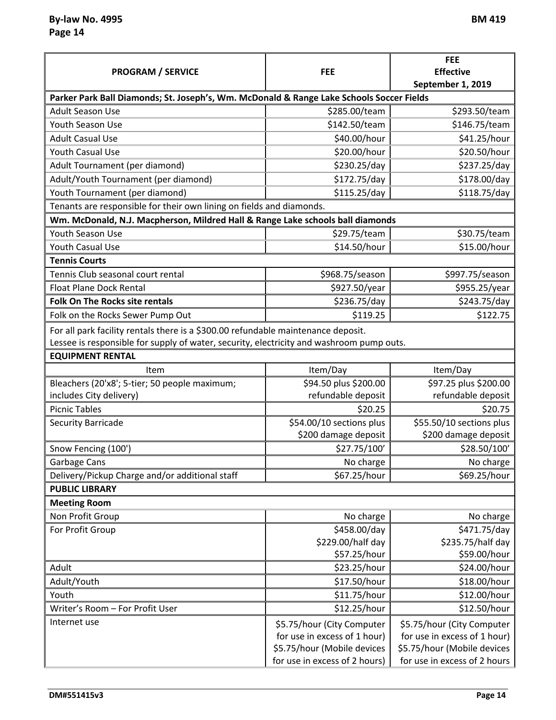| <b>PROGRAM / SERVICE</b>                                                                 | <b>FEE</b>                    | <b>FEE</b><br><b>Effective</b> |
|------------------------------------------------------------------------------------------|-------------------------------|--------------------------------|
|                                                                                          |                               | September 1, 2019              |
| Parker Park Ball Diamonds; St. Joseph's, Wm. McDonald & Range Lake Schools Soccer Fields |                               |                                |
| <b>Adult Season Use</b>                                                                  | \$285.00/team                 | \$293.50/team                  |
| Youth Season Use                                                                         | \$142.50/team                 | \$146.75/team                  |
| <b>Adult Casual Use</b>                                                                  | \$40.00/hour                  | \$41.25/hour                   |
| <b>Youth Casual Use</b>                                                                  | \$20.00/hour                  | \$20.50/hour                   |
| Adult Tournament (per diamond)                                                           | \$230.25/day                  | \$237.25/day                   |
| Adult/Youth Tournament (per diamond)                                                     | \$172.75/day                  | \$178.00/day                   |
| Youth Tournament (per diamond)                                                           | \$115.25/day                  | \$118.75/day                   |
| Tenants are responsible for their own lining on fields and diamonds.                     |                               |                                |
| Wm. McDonald, N.J. Macpherson, Mildred Hall & Range Lake schools ball diamonds           |                               |                                |
| Youth Season Use                                                                         | \$29.75/team                  | \$30.75/team                   |
| <b>Youth Casual Use</b>                                                                  | \$14.50/hour                  | \$15.00/hour                   |
| <b>Tennis Courts</b>                                                                     |                               |                                |
| Tennis Club seasonal court rental                                                        | \$968.75/season               | \$997.75/season                |
| <b>Float Plane Dock Rental</b>                                                           | \$927.50/year                 | \$955.25/year                  |
| Folk On The Rocks site rentals                                                           | \$236.75/day                  | \$243.75/day                   |
| Folk on the Rocks Sewer Pump Out                                                         | \$119.25                      | \$122.75                       |
| For all park facility rentals there is a \$300.00 refundable maintenance deposit.        |                               |                                |
| Lessee is responsible for supply of water, security, electricity and washroom pump outs. |                               |                                |
| <b>EQUIPMENT RENTAL</b>                                                                  |                               |                                |
| Item                                                                                     | Item/Day                      | Item/Day                       |
| Bleachers (20'x8'; 5-tier; 50 people maximum;                                            | \$94.50 plus \$200.00         | \$97.25 plus \$200.00          |
| includes City delivery)                                                                  | refundable deposit            | refundable deposit             |
| <b>Picnic Tables</b>                                                                     | \$20.25                       | \$20.75                        |
| <b>Security Barricade</b>                                                                | \$54.00/10 sections plus      | \$55.50/10 sections plus       |
|                                                                                          | \$200 damage deposit          | \$200 damage deposit           |
| Snow Fencing (100')                                                                      | \$27.75/100'                  | \$28.50/100'                   |
| Garbage Cans                                                                             | No charge                     | No charge                      |
| Delivery/Pickup Charge and/or additional staff                                           | \$67.25/hour                  | \$69.25/hour                   |
| <b>PUBLIC LIBRARY</b>                                                                    |                               |                                |
| <b>Meeting Room</b>                                                                      |                               |                                |
| Non Profit Group                                                                         | No charge                     | No charge                      |
| For Profit Group                                                                         | \$458.00/day                  | \$471.75/day                   |
|                                                                                          | \$229.00/half day             | \$235.75/half day              |
|                                                                                          | \$57.25/hour                  | \$59.00/hour                   |
| Adult                                                                                    | \$23.25/hour                  | \$24.00/hour                   |
| Adult/Youth                                                                              | \$17.50/hour                  | \$18.00/hour                   |
| Youth                                                                                    | \$11.75/hour                  | \$12.00/hour                   |
| Writer's Room - For Profit User                                                          | \$12.25/hour                  | \$12.50/hour                   |
| Internet use                                                                             | \$5.75/hour (City Computer    | \$5.75/hour (City Computer     |
|                                                                                          | for use in excess of 1 hour)  | for use in excess of 1 hour)   |
|                                                                                          | \$5.75/hour (Mobile devices   | \$5.75/hour (Mobile devices    |
|                                                                                          | for use in excess of 2 hours) | for use in excess of 2 hours   |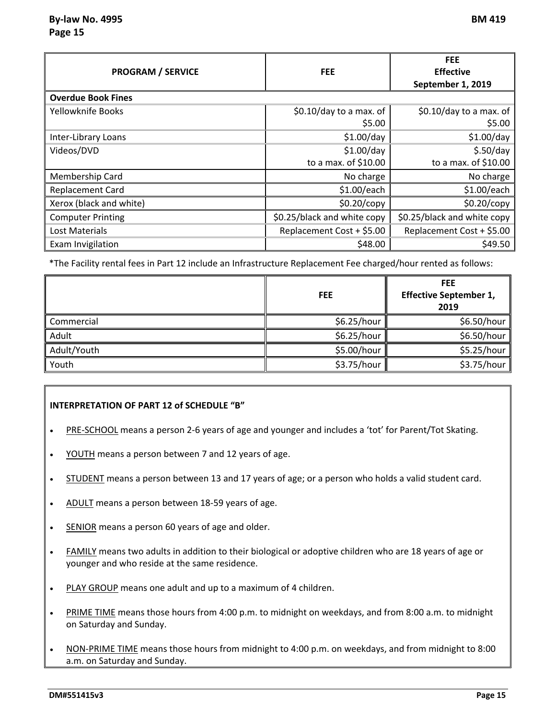### **By‐law No. 4995 BM 419 Page 15**

| <b>PROGRAM / SERVICE</b>  | <b>FEE</b>                  | <b>FEE</b><br><b>Effective</b><br>September 1, 2019 |
|---------------------------|-----------------------------|-----------------------------------------------------|
| <b>Overdue Book Fines</b> |                             |                                                     |
| Yellowknife Books         | \$0.10/day to a max. of     | \$0.10/day to a max. of                             |
|                           | \$5.00                      | \$5.00                                              |
| Inter-Library Loans       | $$1.00$ /day                | $$1.00$ /day                                        |
| Videos/DVD                | \$1.00/day                  | \$.50/day                                           |
|                           | to a max. of \$10.00        | to a max. of \$10.00                                |
| Membership Card           | No charge                   | No charge                                           |
| <b>Replacement Card</b>   | \$1.00/each                 | \$1.00/each                                         |
| Xerox (black and white)   | \$0.20/copy                 | \$0.20/copy                                         |
| <b>Computer Printing</b>  | \$0.25/black and white copy | \$0.25/black and white copy                         |
| <b>Lost Materials</b>     | Replacement Cost + \$5.00   | Replacement Cost + \$5.00                           |
| Exam Invigilation         | \$48.00                     | \$49.50                                             |

\*The Facility rental fees in Part 12 include an Infrastructure Replacement Fee charged/hour rented as follows:

|             | <b>FEE</b>  | <b>FEE</b><br><b>Effective September 1,</b><br>2019 |
|-------------|-------------|-----------------------------------------------------|
| Commercial  | \$6.25/hour | \$6.50/hour                                         |
| Adult       | \$6.25/hour | \$6.50/hour                                         |
| Adult/Youth | \$5.00/hour | \$5.25/hour                                         |
| Youth       | \$3.75/hour | \$3.75/hour                                         |

#### **INTERPRETATION OF PART 12 of SCHEDULE "B"**

- PRE‐SCHOOL means a person 2‐6 years of age and younger and includes a 'tot' for Parent/Tot Skating.
- YOUTH means a person between 7 and 12 years of age.
- STUDENT means a person between 13 and 17 years of age; or a person who holds a valid student card.
- ADULT means a person between 18-59 years of age.
- SENIOR means a person 60 years of age and older.
- FAMILY means two adults in addition to their biological or adoptive children who are 18 years of age or younger and who reside at the same residence.
- PLAY GROUP means one adult and up to a maximum of 4 children.
- PRIME TIME means those hours from 4:00 p.m. to midnight on weekdays, and from 8:00 a.m. to midnight on Saturday and Sunday.
- NON‐PRIME TIME means those hours from midnight to 4:00 p.m. on weekdays, and from midnight to 8:00 a.m. on Saturday and Sunday.